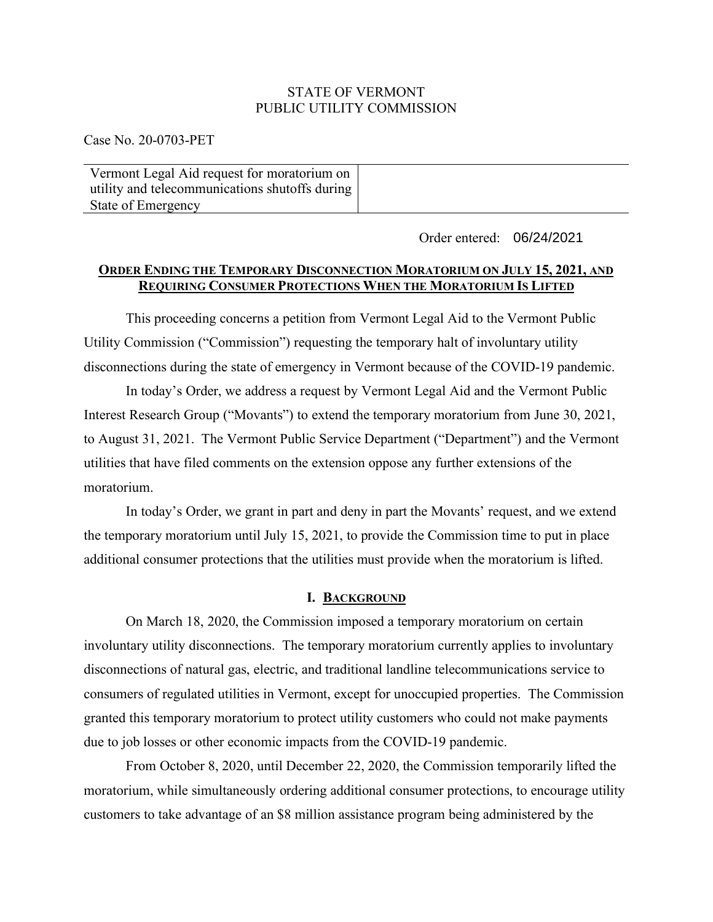## STATE OF VERMONT PUBLIC UTILITY COMMISSION

Case No. 20-0703-PET

| Vermont Legal Aid request for moratorium on    |  |
|------------------------------------------------|--|
| utility and telecommunications shutoffs during |  |
| State of Emergency                             |  |

Order entered: 06/24/2021

# **ORDER ENDING THE TEMPORARY DISCONNECTION MORATORIUM ON JULY 15, 2021, AND REQUIRING CONSUMER PROTECTIONS WHEN THE MORATORIUM IS LIFTED**

This proceeding concerns a petition from Vermont Legal Aid to the Vermont Public Utility Commission ("Commission") requesting the temporary halt of involuntary utility disconnections during the state of emergency in Vermont because of the COVID-19 pandemic.

In today's Order, we address a request by Vermont Legal Aid and the Vermont Public Interest Research Group ("Movants") to extend the temporary moratorium from June 30, 2021, to August 31, 2021. The Vermont Public Service Department ("Department") and the Vermont utilities that have filed comments on the extension oppose any further extensions of the moratorium.

In today's Order, we grant in part and deny in part the Movants' request, and we extend the temporary moratorium until July 15, 2021, to provide the Commission time to put in place additional consumer protections that the utilities must provide when the moratorium is lifted.

### **I. BACKGROUND**

On March 18, 2020, the Commission imposed a temporary moratorium on certain involuntary utility disconnections. The temporary moratorium currently applies to involuntary disconnections of natural gas, electric, and traditional landline telecommunications service to consumers of regulated utilities in Vermont, except for unoccupied properties. The Commission granted this temporary moratorium to protect utility customers who could not make payments due to job losses or other economic impacts from the COVID-19 pandemic.

From October 8, 2020, until December 22, 2020, the Commission temporarily lifted the moratorium, while simultaneously ordering additional consumer protections, to encourage utility customers to take advantage of an \$8 million assistance program being administered by the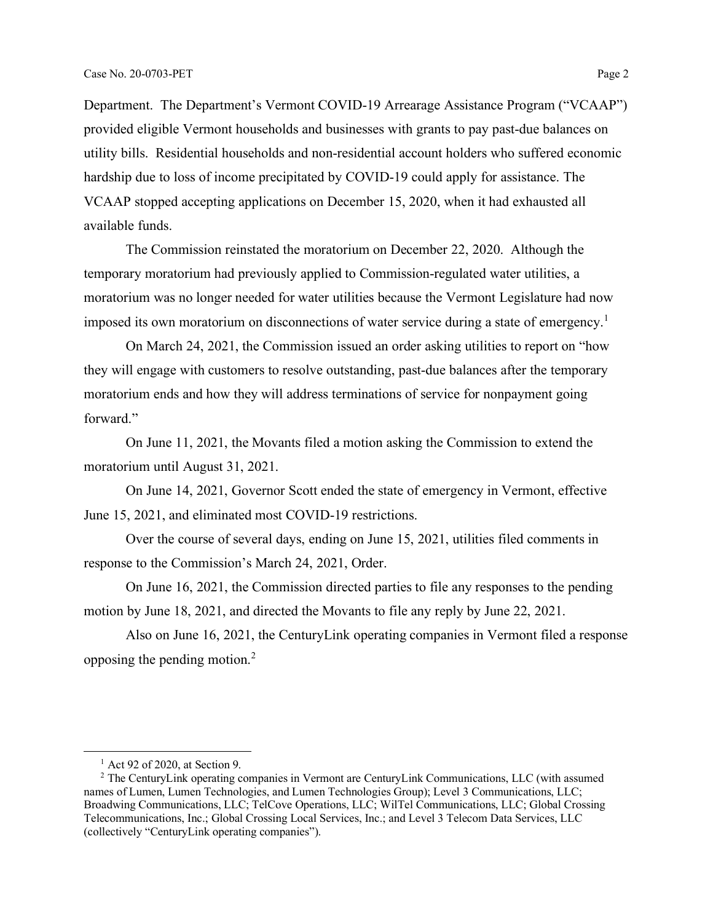Department. The Department's Vermont COVID-19 Arrearage Assistance Program ("VCAAP") provided eligible Vermont households and businesses with grants to pay past-due balances on utility bills. Residential households and non-residential account holders who suffered economic hardship due to loss of income precipitated by COVID-19 could apply for assistance. The VCAAP stopped accepting applications on December 15, 2020, when it had exhausted all available funds.

The Commission reinstated the moratorium on December 22, 2020. Although the temporary moratorium had previously applied to Commission-regulated water utilities, a moratorium was no longer needed for water utilities because the Vermont Legislature had now imposed its own moratorium on disconnections of water service during a state of emergency.<sup>[1](#page-1-0)</sup>

On March 24, 2021, the Commission issued an order asking utilities to report on "how they will engage with customers to resolve outstanding, past-due balances after the temporary moratorium ends and how they will address terminations of service for nonpayment going forward."

On June 11, 2021, the Movants filed a motion asking the Commission to extend the moratorium until August 31, 2021.

On June 14, 2021, Governor Scott ended the state of emergency in Vermont, effective June 15, 2021, and eliminated most COVID-19 restrictions.

Over the course of several days, ending on June 15, 2021, utilities filed comments in response to the Commission's March 24, 2021, Order.

On June 16, 2021, the Commission directed parties to file any responses to the pending motion by June 18, 2021, and directed the Movants to file any reply by June 22, 2021.

Also on June 16, 2021, the CenturyLink operating companies in Vermont filed a response opposing the pending motion.[2](#page-1-1)

 $<sup>1</sup>$  Act 92 of 2020, at Section 9.</sup>

<span id="page-1-1"></span><span id="page-1-0"></span><sup>&</sup>lt;sup>2</sup> The CenturyLink operating companies in Vermont are CenturyLink Communications, LLC (with assumed names of Lumen, Lumen Technologies, and Lumen Technologies Group); Level 3 Communications, LLC; Broadwing Communications, LLC; TelCove Operations, LLC; WilTel Communications, LLC; Global Crossing Telecommunications, Inc.; Global Crossing Local Services, Inc.; and Level 3 Telecom Data Services, LLC (collectively "CenturyLink operating companies").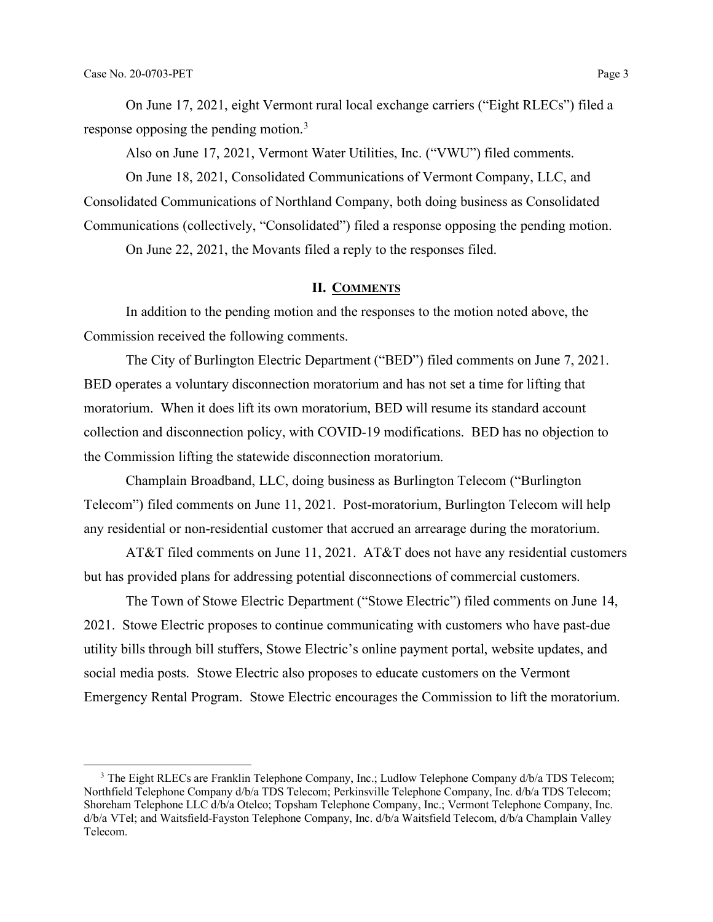On June 17, 2021, eight Vermont rural local exchange carriers ("Eight RLECs") filed a response opposing the pending motion.<sup>[3](#page-2-0)</sup>

Also on June 17, 2021, Vermont Water Utilities, Inc. ("VWU") filed comments.

On June 18, 2021, Consolidated Communications of Vermont Company, LLC, and Consolidated Communications of Northland Company, both doing business as Consolidated Communications (collectively, "Consolidated") filed a response opposing the pending motion. On June 22, 2021, the Movants filed a reply to the responses filed.

# **II. COMMENTS**

In addition to the pending motion and the responses to the motion noted above, the Commission received the following comments.

The City of Burlington Electric Department ("BED") filed comments on June 7, 2021. BED operates a voluntary disconnection moratorium and has not set a time for lifting that moratorium. When it does lift its own moratorium, BED will resume its standard account collection and disconnection policy, with COVID-19 modifications. BED has no objection to the Commission lifting the statewide disconnection moratorium.

Champlain Broadband, LLC, doing business as Burlington Telecom ("Burlington Telecom") filed comments on June 11, 2021. Post-moratorium, Burlington Telecom will help any residential or non-residential customer that accrued an arrearage during the moratorium.

AT&T filed comments on June 11, 2021. AT&T does not have any residential customers but has provided plans for addressing potential disconnections of commercial customers.

The Town of Stowe Electric Department ("Stowe Electric") filed comments on June 14, 2021. Stowe Electric proposes to continue communicating with customers who have past-due utility bills through bill stuffers, Stowe Electric's online payment portal, website updates, and social media posts. Stowe Electric also proposes to educate customers on the Vermont Emergency Rental Program. Stowe Electric encourages the Commission to lift the moratorium.

<span id="page-2-0"></span><sup>&</sup>lt;sup>3</sup> The Eight RLECs are Franklin Telephone Company, Inc.; Ludlow Telephone Company d/b/a TDS Telecom; Northfield Telephone Company d/b/a TDS Telecom; Perkinsville Telephone Company, Inc. d/b/a TDS Telecom; Shoreham Telephone LLC d/b/a Otelco; Topsham Telephone Company, Inc.; Vermont Telephone Company, Inc. d/b/a VTel; and Waitsfield-Fayston Telephone Company, Inc. d/b/a Waitsfield Telecom, d/b/a Champlain Valley Telecom.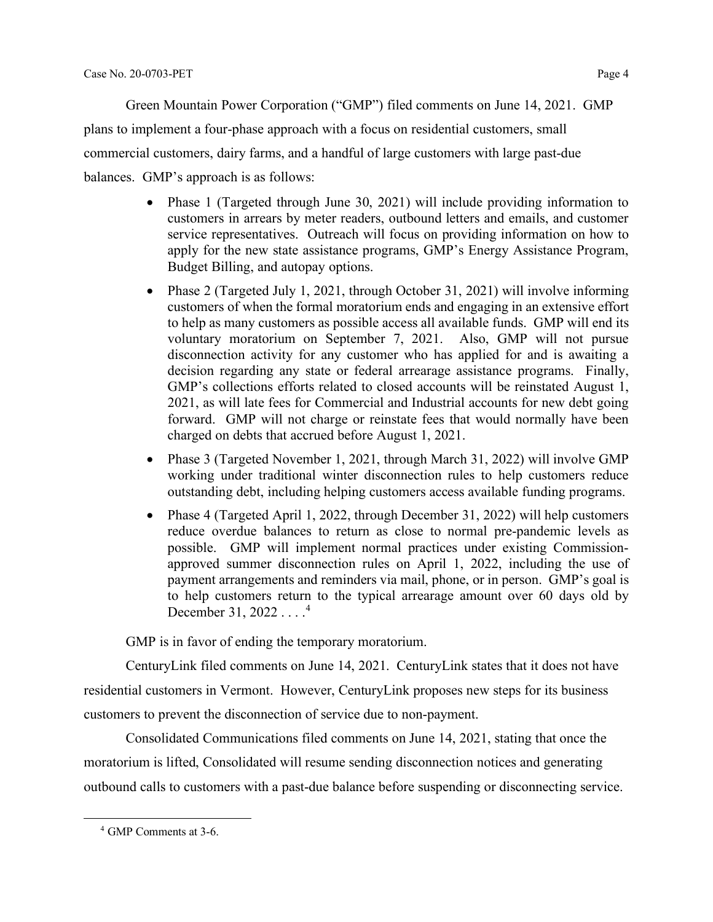Green Mountain Power Corporation ("GMP") filed comments on June 14, 2021. GMP

plans to implement a four-phase approach with a focus on residential customers, small

commercial customers, dairy farms, and a handful of large customers with large past-due

balances. GMP's approach is as follows:

- Phase 1 (Targeted through June 30, 2021) will include providing information to customers in arrears by meter readers, outbound letters and emails, and customer service representatives. Outreach will focus on providing information on how to apply for the new state assistance programs, GMP's Energy Assistance Program, Budget Billing, and autopay options.
- Phase 2 (Targeted July 1, 2021, through October 31, 2021) will involve informing customers of when the formal moratorium ends and engaging in an extensive effort to help as many customers as possible access all available funds. GMP will end its voluntary moratorium on September 7, 2021. Also, GMP will not pursue disconnection activity for any customer who has applied for and is awaiting a decision regarding any state or federal arrearage assistance programs. Finally, GMP's collections efforts related to closed accounts will be reinstated August 1, 2021, as will late fees for Commercial and Industrial accounts for new debt going forward. GMP will not charge or reinstate fees that would normally have been charged on debts that accrued before August 1, 2021.
- Phase 3 (Targeted November 1, 2021, through March 31, 2022) will involve GMP working under traditional winter disconnection rules to help customers reduce outstanding debt, including helping customers access available funding programs.
- Phase 4 (Targeted April 1, 2022, through December 31, 2022) will help customers reduce overdue balances to return as close to normal pre-pandemic levels as possible. GMP will implement normal practices under existing Commissionapproved summer disconnection rules on April 1, 2022, including the use of payment arrangements and reminders via mail, phone, or in person. GMP's goal is to help customers return to the typical arrearage amount over 60 days old by December 31, 2022 . . . . [4](#page-3-0)

GMP is in favor of ending the temporary moratorium.

CenturyLink filed comments on June 14, 2021. CenturyLink states that it does not have residential customers in Vermont. However, CenturyLink proposes new steps for its business

customers to prevent the disconnection of service due to non-payment.

Consolidated Communications filed comments on June 14, 2021, stating that once the moratorium is lifted, Consolidated will resume sending disconnection notices and generating outbound calls to customers with a past-due balance before suspending or disconnecting service.

<span id="page-3-0"></span><sup>4</sup> GMP Comments at 3-6.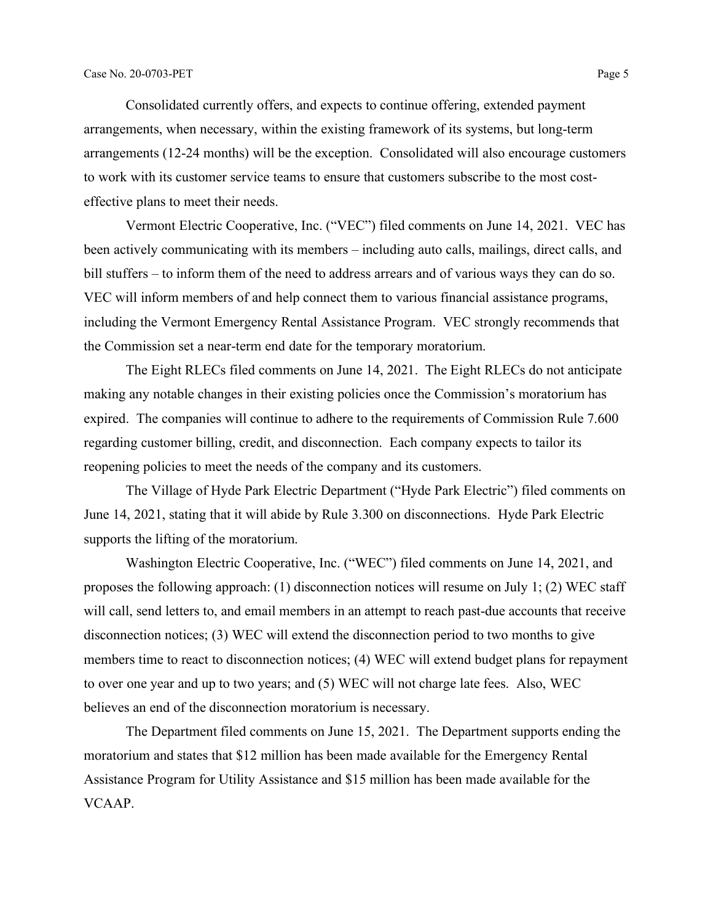Consolidated currently offers, and expects to continue offering, extended payment arrangements, when necessary, within the existing framework of its systems, but long-term arrangements (12-24 months) will be the exception. Consolidated will also encourage customers to work with its customer service teams to ensure that customers subscribe to the most costeffective plans to meet their needs.

Vermont Electric Cooperative, Inc. ("VEC") filed comments on June 14, 2021. VEC has been actively communicating with its members – including auto calls, mailings, direct calls, and bill stuffers – to inform them of the need to address arrears and of various ways they can do so. VEC will inform members of and help connect them to various financial assistance programs, including the Vermont Emergency Rental Assistance Program. VEC strongly recommends that the Commission set a near-term end date for the temporary moratorium.

The Eight RLECs filed comments on June 14, 2021. The Eight RLECs do not anticipate making any notable changes in their existing policies once the Commission's moratorium has expired. The companies will continue to adhere to the requirements of Commission Rule 7.600 regarding customer billing, credit, and disconnection. Each company expects to tailor its reopening policies to meet the needs of the company and its customers.

The Village of Hyde Park Electric Department ("Hyde Park Electric") filed comments on June 14, 2021, stating that it will abide by Rule 3.300 on disconnections. Hyde Park Electric supports the lifting of the moratorium.

Washington Electric Cooperative, Inc. ("WEC") filed comments on June 14, 2021, and proposes the following approach: (1) disconnection notices will resume on July 1; (2) WEC staff will call, send letters to, and email members in an attempt to reach past-due accounts that receive disconnection notices; (3) WEC will extend the disconnection period to two months to give members time to react to disconnection notices; (4) WEC will extend budget plans for repayment to over one year and up to two years; and (5) WEC will not charge late fees. Also, WEC believes an end of the disconnection moratorium is necessary.

The Department filed comments on June 15, 2021. The Department supports ending the moratorium and states that \$12 million has been made available for the Emergency Rental Assistance Program for Utility Assistance and \$15 million has been made available for the VCAAP.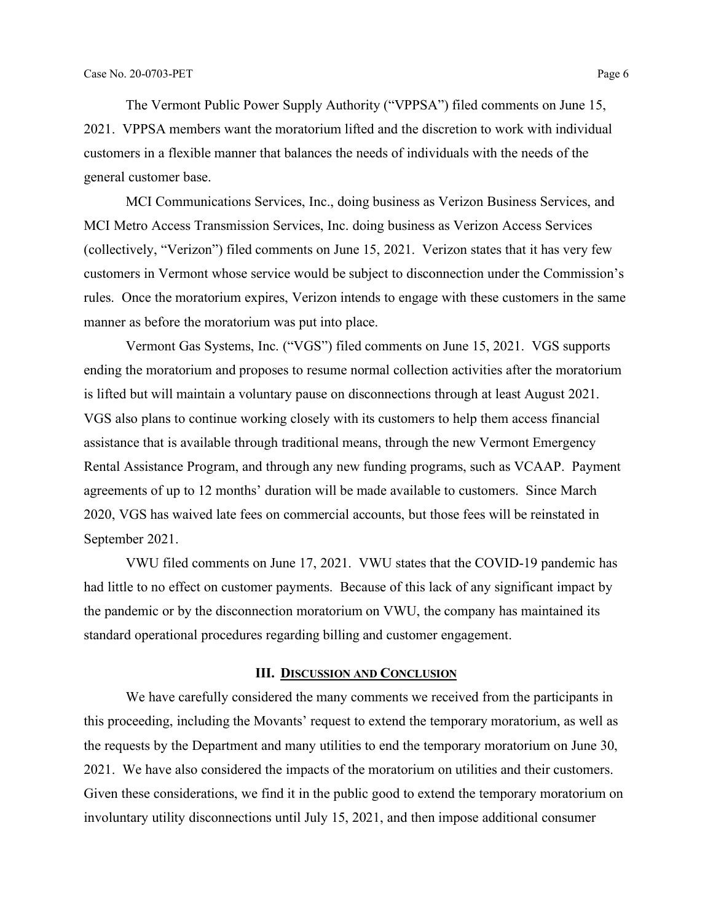The Vermont Public Power Supply Authority ("VPPSA") filed comments on June 15, 2021. VPPSA members want the moratorium lifted and the discretion to work with individual customers in a flexible manner that balances the needs of individuals with the needs of the general customer base.

MCI Communications Services, Inc., doing business as Verizon Business Services, and MCI Metro Access Transmission Services, Inc. doing business as Verizon Access Services (collectively, "Verizon") filed comments on June 15, 2021. Verizon states that it has very few customers in Vermont whose service would be subject to disconnection under the Commission's rules. Once the moratorium expires, Verizon intends to engage with these customers in the same manner as before the moratorium was put into place.

Vermont Gas Systems, Inc. ("VGS") filed comments on June 15, 2021. VGS supports ending the moratorium and proposes to resume normal collection activities after the moratorium is lifted but will maintain a voluntary pause on disconnections through at least August 2021. VGS also plans to continue working closely with its customers to help them access financial assistance that is available through traditional means, through the new Vermont Emergency Rental Assistance Program, and through any new funding programs, such as VCAAP. Payment agreements of up to 12 months' duration will be made available to customers. Since March 2020, VGS has waived late fees on commercial accounts, but those fees will be reinstated in September 2021.

VWU filed comments on June 17, 2021. VWU states that the COVID-19 pandemic has had little to no effect on customer payments. Because of this lack of any significant impact by the pandemic or by the disconnection moratorium on VWU, the company has maintained its standard operational procedures regarding billing and customer engagement.

#### **III. DISCUSSION AND CONCLUSION**

We have carefully considered the many comments we received from the participants in this proceeding, including the Movants' request to extend the temporary moratorium, as well as the requests by the Department and many utilities to end the temporary moratorium on June 30, 2021. We have also considered the impacts of the moratorium on utilities and their customers. Given these considerations, we find it in the public good to extend the temporary moratorium on involuntary utility disconnections until July 15, 2021, and then impose additional consumer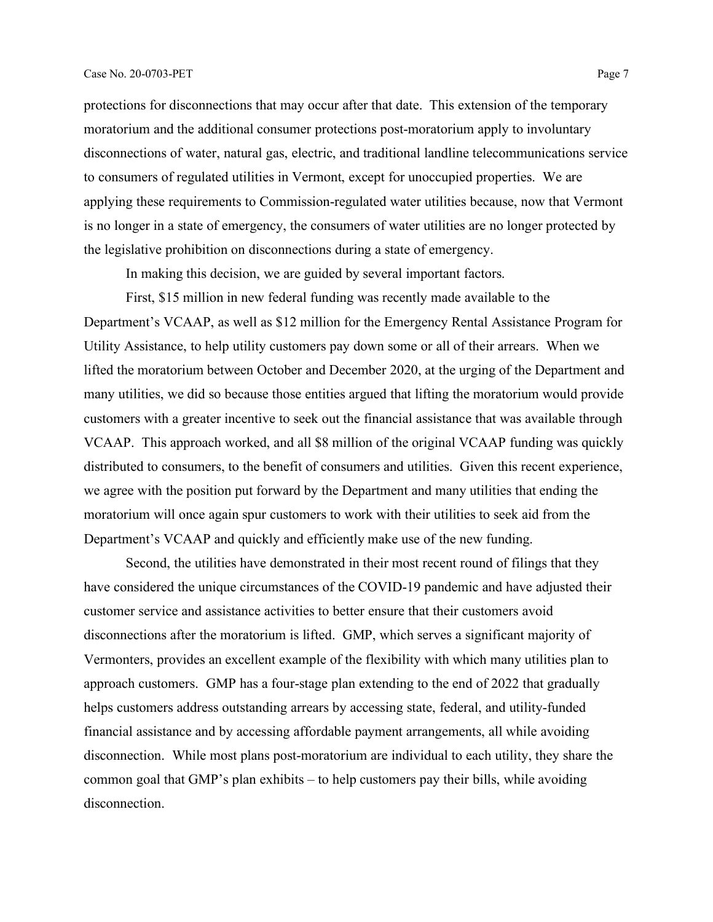protections for disconnections that may occur after that date. This extension of the temporary moratorium and the additional consumer protections post-moratorium apply to involuntary disconnections of water, natural gas, electric, and traditional landline telecommunications service to consumers of regulated utilities in Vermont, except for unoccupied properties. We are applying these requirements to Commission-regulated water utilities because, now that Vermont is no longer in a state of emergency, the consumers of water utilities are no longer protected by the legislative prohibition on disconnections during a state of emergency.

In making this decision, we are guided by several important factors.

First, \$15 million in new federal funding was recently made available to the Department's VCAAP, as well as \$12 million for the Emergency Rental Assistance Program for Utility Assistance, to help utility customers pay down some or all of their arrears. When we lifted the moratorium between October and December 2020, at the urging of the Department and many utilities, we did so because those entities argued that lifting the moratorium would provide customers with a greater incentive to seek out the financial assistance that was available through VCAAP. This approach worked, and all \$8 million of the original VCAAP funding was quickly distributed to consumers, to the benefit of consumers and utilities. Given this recent experience, we agree with the position put forward by the Department and many utilities that ending the moratorium will once again spur customers to work with their utilities to seek aid from the Department's VCAAP and quickly and efficiently make use of the new funding.

Second, the utilities have demonstrated in their most recent round of filings that they have considered the unique circumstances of the COVID-19 pandemic and have adjusted their customer service and assistance activities to better ensure that their customers avoid disconnections after the moratorium is lifted. GMP, which serves a significant majority of Vermonters, provides an excellent example of the flexibility with which many utilities plan to approach customers. GMP has a four-stage plan extending to the end of 2022 that gradually helps customers address outstanding arrears by accessing state, federal, and utility-funded financial assistance and by accessing affordable payment arrangements, all while avoiding disconnection. While most plans post-moratorium are individual to each utility, they share the common goal that GMP's plan exhibits – to help customers pay their bills, while avoiding disconnection.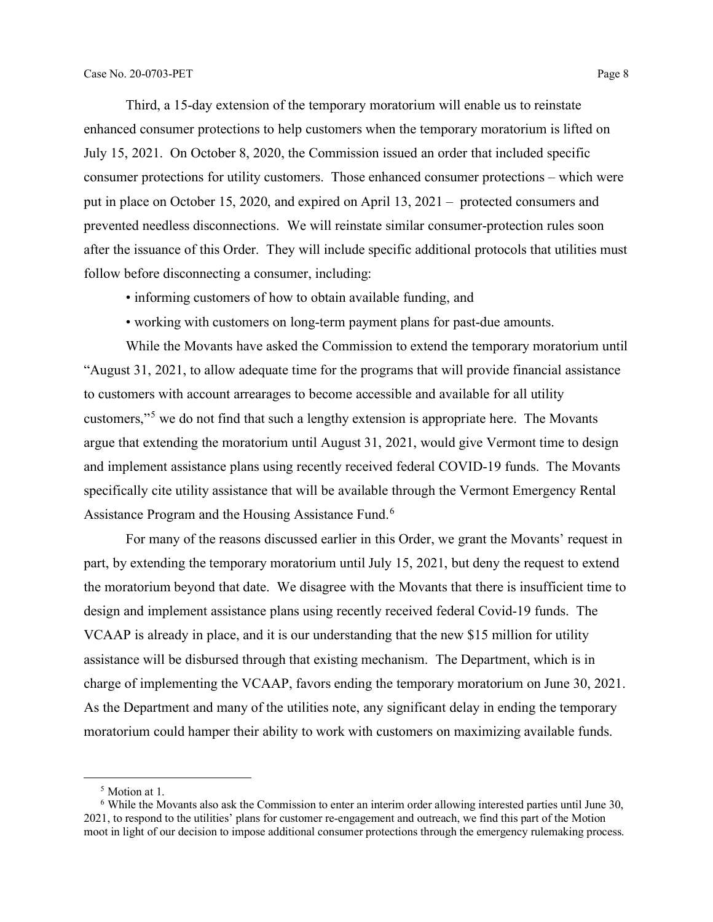Third, a 15-day extension of the temporary moratorium will enable us to reinstate enhanced consumer protections to help customers when the temporary moratorium is lifted on July 15, 2021. On October 8, 2020, the Commission issued an order that included specific consumer protections for utility customers. Those enhanced consumer protections – which were put in place on October 15, 2020, and expired on April 13, 2021 – protected consumers and prevented needless disconnections. We will reinstate similar consumer-protection rules soon after the issuance of this Order. They will include specific additional protocols that utilities must follow before disconnecting a consumer, including:

- informing customers of how to obtain available funding, and
- working with customers on long-term payment plans for past-due amounts.

While the Movants have asked the Commission to extend the temporary moratorium until "August 31, 2021, to allow adequate time for the programs that will provide financial assistance to customers with account arrearages to become accessible and available for all utility customers,"[5](#page-7-0) we do not find that such a lengthy extension is appropriate here. The Movants argue that extending the moratorium until August 31, 2021, would give Vermont time to design and implement assistance plans using recently received federal COVID-19 funds. The Movants specifically cite utility assistance that will be available through the Vermont Emergency Rental Assistance Program and the Housing Assistance Fund.<sup>[6](#page-8-0)</sup>

For many of the reasons discussed earlier in this Order, we grant the Movants' request in part, by extending the temporary moratorium until July 15, 2021, but deny the request to extend the moratorium beyond that date. We disagree with the Movants that there is insufficient time to design and implement assistance plans using recently received federal Covid-19 funds. The VCAAP is already in place, and it is our understanding that the new \$15 million for utility assistance will be disbursed through that existing mechanism. The Department, which is in charge of implementing the VCAAP, favors ending the temporary moratorium on June 30, 2021. As the Department and many of the utilities note, any significant delay in ending the temporary moratorium could hamper their ability to work with customers on maximizing available funds.

<sup>5</sup> Motion at 1.

<span id="page-7-0"></span><sup>6</sup> While the Movants also ask the Commission to enter an interim order allowing interested parties until June 30, 2021, to respond to the utilities' plans for customer re-engagement and outreach, we find this part of the Motion moot in light of our decision to impose additional consumer protections through the emergency rulemaking process.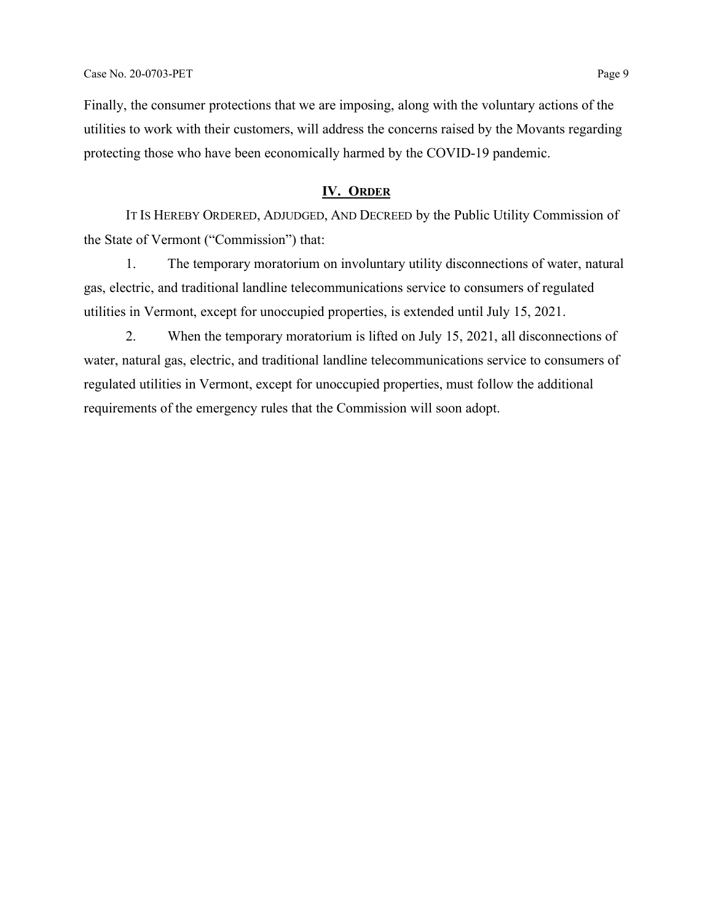Finally, the consumer protections that we are imposing, along with the voluntary actions of the utilities to work with their customers, will address the concerns raised by the Movants regarding protecting those who have been economically harmed by the COVID-19 pandemic.

### **IV. ORDER**

IT IS HEREBY ORDERED, ADJUDGED, AND DECREED by the Public Utility Commission of the State of Vermont ("Commission") that:

1. The temporary moratorium on involuntary utility disconnections of water, natural gas, electric, and traditional landline telecommunications service to consumers of regulated utilities in Vermont, except for unoccupied properties, is extended until July 15, 2021.

<span id="page-8-0"></span>2. When the temporary moratorium is lifted on July 15, 2021, all disconnections of water, natural gas, electric, and traditional landline telecommunications service to consumers of regulated utilities in Vermont, except for unoccupied properties, must follow the additional requirements of the emergency rules that the Commission will soon adopt.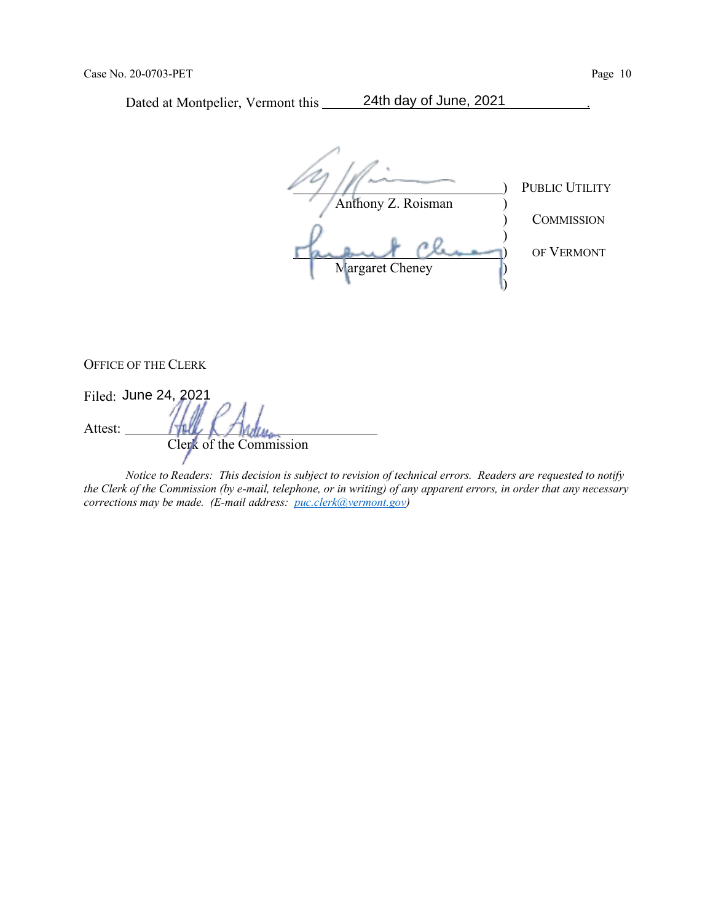Dated at Montpelier, Vermont this 24th day of June, 2021

PUBLIC UTILITY Anthony Z. Roisman ) **COMMISSION** ) ) OF VERMONT Margaret Cheney (1) )

OFFICE OF THE CLERK

Filed: June 24, 2021 Attest: Clerk of the Commission

*Notice to Readers: This decision is subject to revision of technical errors. Readers are requested to notify the Clerk of the Commission (by e-mail, telephone, or in writing) of any apparent errors, in order that any necessary corrections may be made. (E-mail address: [puc.clerk@vermont.gov\)](mailto:puc.clerk@vermont.gov)*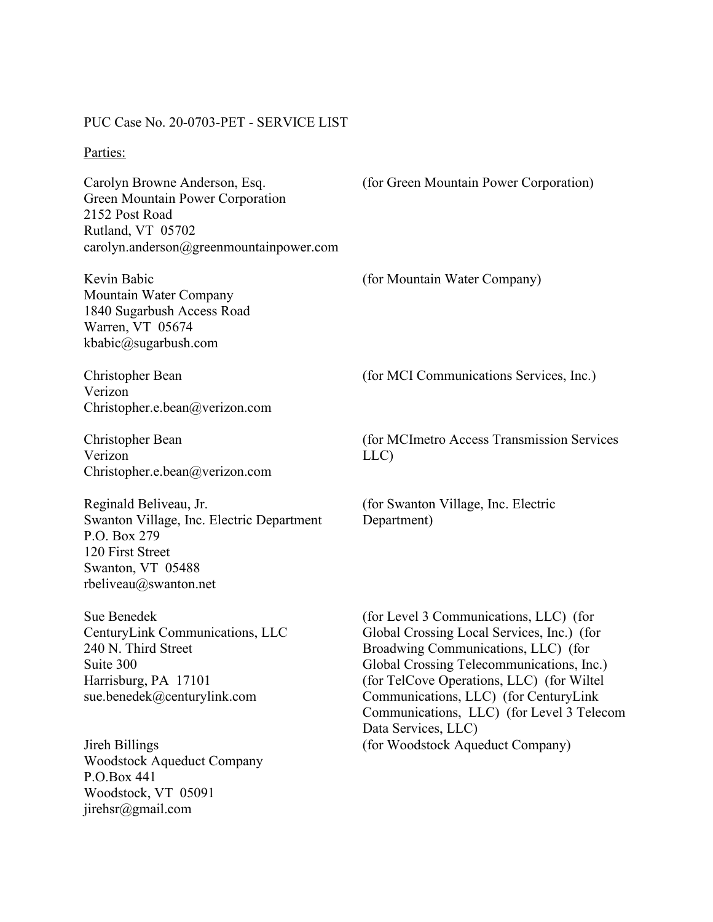#### PUC Case No. 20-0703-PET - SERVICE LIST

#### Parties:

Carolyn Browne Anderson, Esq. Green Mountain Power Corporation 2152 Post Road Rutland, VT 05702 carolyn.anderson@greenmountainpower.com

Kevin Babic Mountain Water Company 1840 Sugarbush Access Road Warren, VT 05674 kbabic@sugarbush.com

Christopher Bean Verizon Christopher.e.bean@verizon.com

Christopher Bean Verizon Christopher.e.bean@verizon.com

Reginald Beliveau, Jr. Swanton Village, Inc. Electric Department P.O. Box 279 120 First Street Swanton, VT 05488 rbeliveau@swanton.net

Sue Benedek CenturyLink Communications, LLC 240 N. Third Street Suite 300 Harrisburg, PA 17101 sue.benedek@centurylink.com

Jireh Billings Woodstock Aqueduct Company P.O.Box 441 Woodstock, VT 05091 jirehsr@gmail.com

(for Green Mountain Power Corporation)

(for Mountain Water Company)

(for MCI Communications Services, Inc.)

(for MCImetro Access Transmission Services LLC)

(for Swanton Village, Inc. Electric Department)

(for Level 3 Communications, LLC) (for Global Crossing Local Services, Inc.) (for Broadwing Communications, LLC) (for Global Crossing Telecommunications, Inc.) (for TelCove Operations, LLC) (for Wiltel Communications, LLC) (for CenturyLink Communications, LLC) (for Level 3 Telecom Data Services, LLC) (for Woodstock Aqueduct Company)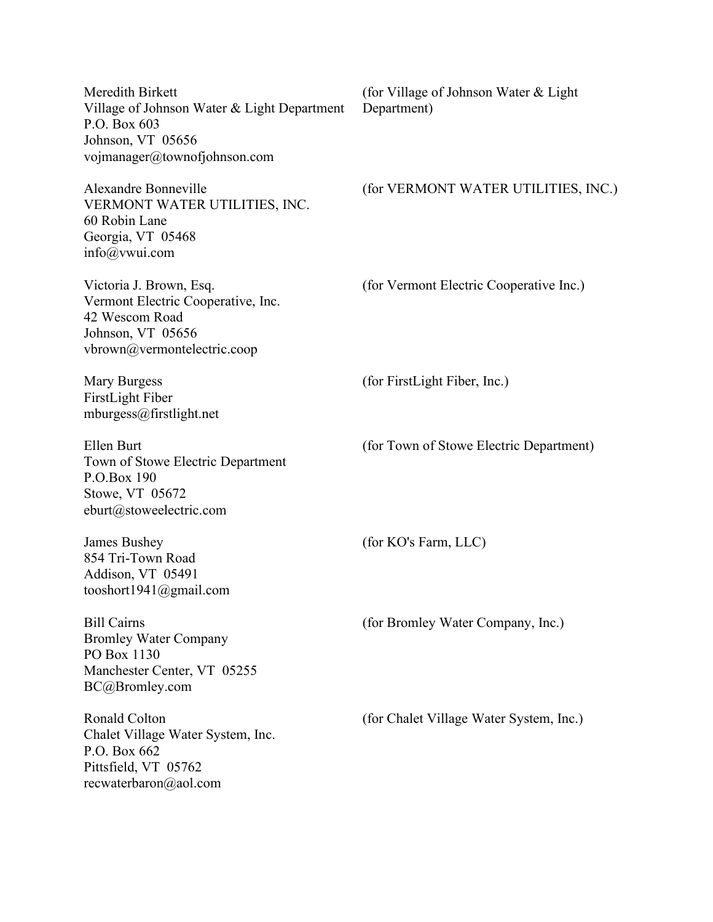| Meredith Birkett<br>Village of Johnson Water & Light Department<br>P.O. Box 603<br>Johnson, VT 05656<br>vojmanager@townofjohnson.com | (for Village of Johnson Water & Light)<br>Department) |
|--------------------------------------------------------------------------------------------------------------------------------------|-------------------------------------------------------|
| Alexandre Bonneville<br>VERMONT WATER UTILITIES, INC.<br>60 Robin Lane<br>Georgia, VT 05468<br>info@vwui.com                         | (for VERMONT WATER UTILITIES, INC.)                   |
| Victoria J. Brown, Esq.<br>Vermont Electric Cooperative, Inc.<br>42 Wescom Road<br>Johnson, VT 05656<br>vbrown@vermontelectric.coop  | (for Vermont Electric Cooperative Inc.)               |
| Mary Burgess<br>FirstLight Fiber<br>mburgess@firstlight.net                                                                          | (for FirstLight Fiber, Inc.)                          |
| Ellen Burt<br>Town of Stowe Electric Department<br>P.O.Box 190<br>Stowe, VT 05672<br>eburt@stoweelectric.com                         | (for Town of Stowe Electric Department)               |
| James Bushey<br>854 Tri-Town Road<br>Addison, VT 05491<br>tooshort1941@gmail.com                                                     | (for KO's Farm, LLC)                                  |
| <b>Bill Cairns</b><br><b>Bromley Water Company</b><br>PO Box 1130<br>Manchester Center, VT 05255<br>BC@Bromley.com                   | (for Bromley Water Company, Inc.)                     |
| Ronald Colton<br>Chalet Village Water System, Inc.<br>P.O. Box 662<br>Pittsfield, VT 05762<br>recwaterbaron@aol.com                  | (for Chalet Village Water System, Inc.)               |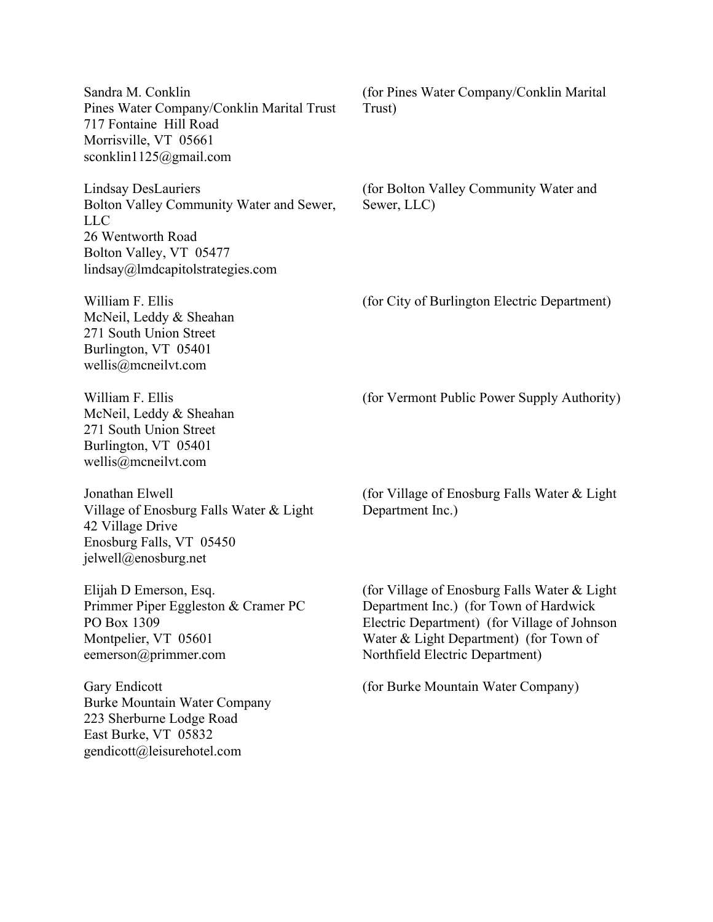Sandra M. Conklin Pines Water Company/Conklin Marital Trust 717 Fontaine Hill Road Morrisville, VT 05661 sconklin1125@gmail.com (for Pines Water Company/Conklin Marital Trust) Lindsay DesLauriers Bolton Valley Community Water and Sewer, LLC 26 Wentworth Road Bolton Valley, VT 05477 lindsay@lmdcapitolstrategies.com (for Bolton Valley Community Water and Sewer, LLC) William F. Ellis McNeil, Leddy & Sheahan 271 South Union Street Burlington, VT 05401 wellis@mcneilvt.com (for City of Burlington Electric Department) William F. Ellis McNeil, Leddy & Sheahan 271 South Union Street Burlington, VT 05401 wellis@mcneilvt.com (for Vermont Public Power Supply Authority) Jonathan Elwell Village of Enosburg Falls Water & Light 42 Village Drive Enosburg Falls, VT 05450 jelwell@enosburg.net (for Village of Enosburg Falls Water & Light Department Inc.) Elijah D Emerson, Esq. Primmer Piper Eggleston & Cramer PC PO Box 1309 Montpelier, VT 05601 eemerson@primmer.com (for Village of Enosburg Falls Water & Light Department Inc.) (for Town of Hardwick Electric Department) (for Village of Johnson Water & Light Department) (for Town of Northfield Electric Department) Gary Endicott Burke Mountain Water Company 223 Sherburne Lodge Road East Burke, VT 05832 gendicott@leisurehotel.com (for Burke Mountain Water Company)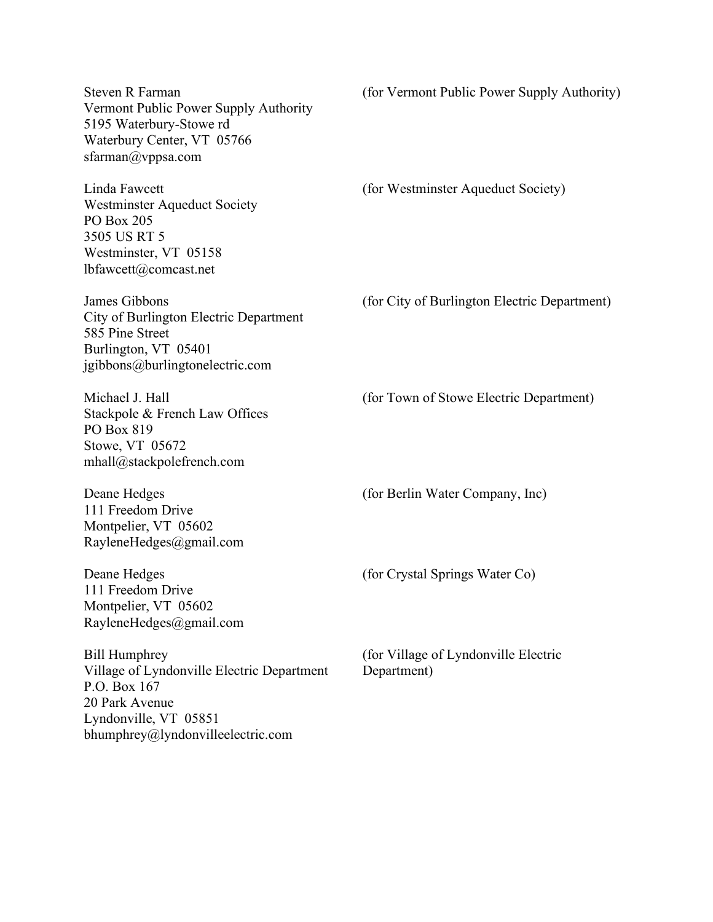Steven R Farman Vermont Public Power Supply Authority 5195 Waterbury-Stowe rd Waterbury Center, VT 05766 sfarman@vppsa.com (for Vermont Public Power Supply Authority) Linda Fawcett Westminster Aqueduct Society PO Box 205 3505 US RT 5 Westminster, VT 05158 lbfawcett@comcast.net (for Westminster Aqueduct Society) James Gibbons City of Burlington Electric Department 585 Pine Street Burlington, VT 05401 jgibbons@burlingtonelectric.com (for City of Burlington Electric Department) Michael J. Hall Stackpole & French Law Offices PO Box 819 Stowe, VT 05672 mhall@stackpolefrench.com (for Town of Stowe Electric Department) Deane Hedges 111 Freedom Drive Montpelier, VT 05602 RayleneHedges@gmail.com (for Berlin Water Company, Inc) Deane Hedges 111 Freedom Drive Montpelier, VT 05602 RayleneHedges@gmail.com (for Crystal Springs Water Co) Bill Humphrey Village of Lyndonville Electric Department P.O. Box 167 20 Park Avenue Lyndonville, VT 05851 bhumphrey@lyndonvilleelectric.com (for Village of Lyndonville Electric Department)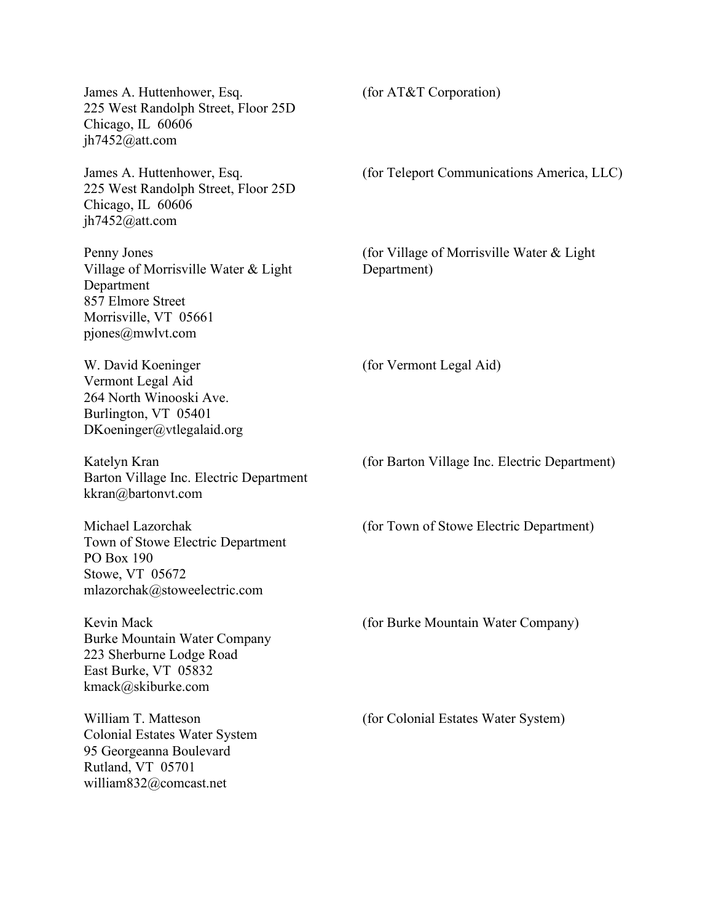James A. Huttenhower, Esq. 225 West Randolph Street, Floor 25D Chicago, IL 60606 jh7452@att.com (for AT&T Corporation) James A. Huttenhower, Esq. 225 West Randolph Street, Floor 25D Chicago, IL 60606 jh7452@att.com (for Teleport Communications America, LLC) Penny Jones Village of Morrisville Water & Light Department 857 Elmore Street Morrisville, VT 05661 pjones@mwlvt.com (for Village of Morrisville Water & Light Department) W. David Koeninger Vermont Legal Aid 264 North Winooski Ave. Burlington, VT 05401 DKoeninger@vtlegalaid.org (for Vermont Legal Aid) Katelyn Kran Barton Village Inc. Electric Department kkran@bartonvt.com (for Barton Village Inc. Electric Department) Michael Lazorchak Town of Stowe Electric Department PO Box 190 Stowe, VT 05672 mlazorchak@stoweelectric.com (for Town of Stowe Electric Department) Kevin Mack Burke Mountain Water Company 223 Sherburne Lodge Road East Burke, VT 05832 kmack@skiburke.com (for Burke Mountain Water Company) William T. Matteson Colonial Estates Water System 95 Georgeanna Boulevard Rutland, VT 05701 william832@comcast.net (for Colonial Estates Water System)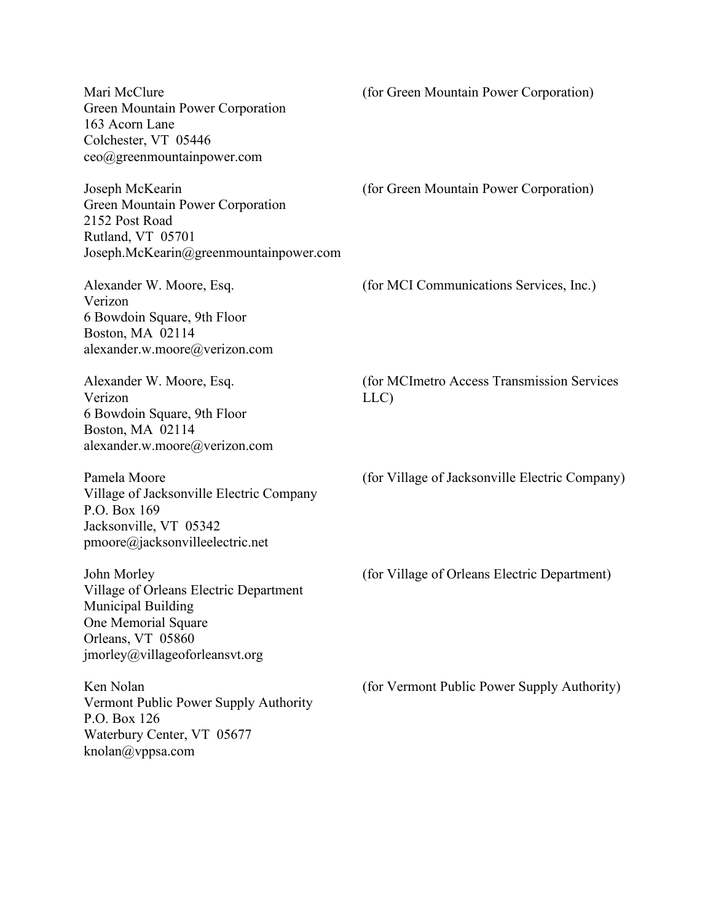Mari McClure Green Mountain Power Corporation 163 Acorn Lane Colchester, VT 05446 ceo@greenmountainpower.com (for Green Mountain Power Corporation) Joseph McKearin Green Mountain Power Corporation 2152 Post Road Rutland, VT 05701 Joseph.McKearin@greenmountainpower.com (for Green Mountain Power Corporation) Alexander W. Moore, Esq. Verizon 6 Bowdoin Square, 9th Floor Boston, MA 02114 alexander.w.moore@verizon.com (for MCI Communications Services, Inc.) Alexander W. Moore, Esq. Verizon 6 Bowdoin Square, 9th Floor Boston, MA 02114 alexander.w.moore@verizon.com (for MCImetro Access Transmission Services LLC) Pamela Moore Village of Jacksonville Electric Company P.O. Box 169 Jacksonville, VT 05342 pmoore@jacksonvilleelectric.net (for Village of Jacksonville Electric Company) John Morley Village of Orleans Electric Department Municipal Building One Memorial Square Orleans, VT 05860 jmorley@villageoforleansvt.org (for Village of Orleans Electric Department) Ken Nolan Vermont Public Power Supply Authority P.O. Box 126 Waterbury Center, VT 05677 knolan@vppsa.com (for Vermont Public Power Supply Authority)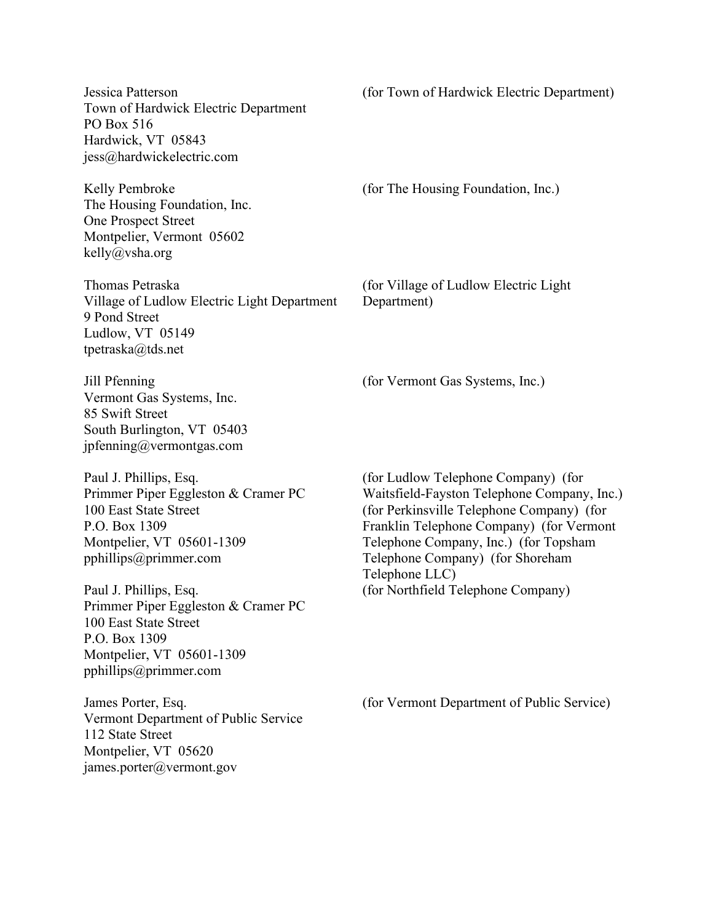Jessica Patterson Town of Hardwick Electric Department PO Box 516 Hardwick, VT 05843 jess@hardwickelectric.com

Kelly Pembroke The Housing Foundation, Inc. One Prospect Street Montpelier, Vermont 05602 kelly@vsha.org

Thomas Petraska Village of Ludlow Electric Light Department 9 Pond Street Ludlow, VT 05149 tpetraska@tds.net

Jill Pfenning Vermont Gas Systems, Inc. 85 Swift Street South Burlington, VT 05403 jpfenning@vermontgas.com

Paul J. Phillips, Esq. Primmer Piper Eggleston & Cramer PC 100 East State Street P.O. Box 1309 Montpelier, VT 05601-1309 pphillips@primmer.com

Paul J. Phillips, Esq. Primmer Piper Eggleston & Cramer PC 100 East State Street P.O. Box 1309 Montpelier, VT 05601-1309 pphillips@primmer.com

James Porter, Esq. Vermont Department of Public Service 112 State Street Montpelier, VT 05620 james.porter@vermont.gov

(for Town of Hardwick Electric Department)

(for The Housing Foundation, Inc.)

(for Village of Ludlow Electric Light Department)

(for Vermont Gas Systems, Inc.)

(for Ludlow Telephone Company) (for Waitsfield-Fayston Telephone Company, Inc.) (for Perkinsville Telephone Company) (for Franklin Telephone Company) (for Vermont Telephone Company, Inc.) (for Topsham Telephone Company) (for Shoreham Telephone LLC) (for Northfield Telephone Company)

(for Vermont Department of Public Service)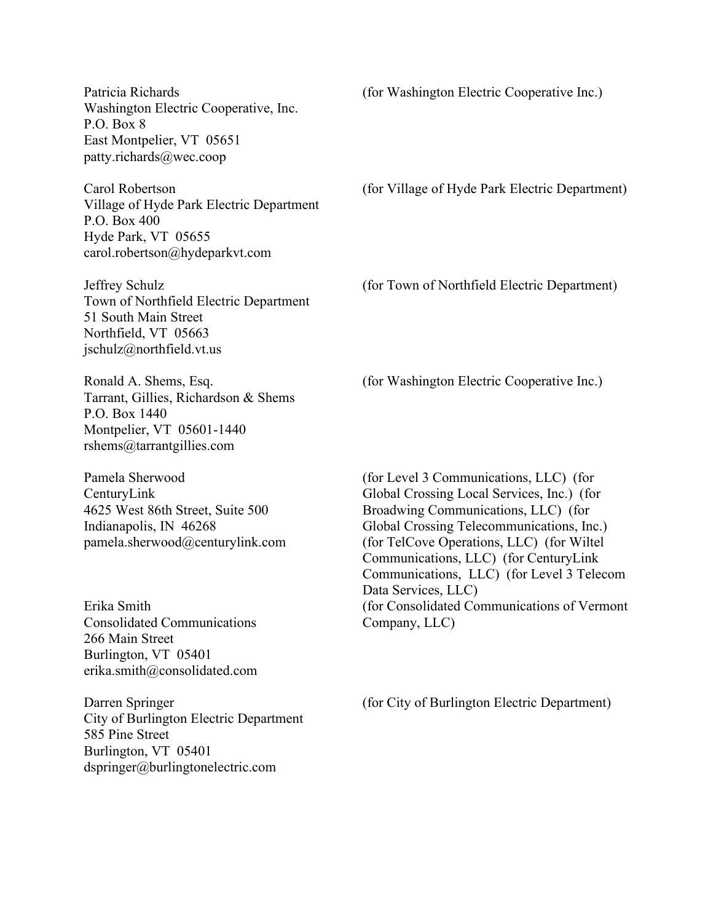Patricia Richards Washington Electric Cooperative, Inc. P.O. Box 8 East Montpelier, VT 05651 patty.richards@wec.coop

Carol Robertson Village of Hyde Park Electric Department P.O. Box 400 Hyde Park, VT 05655 carol.robertson@hydeparkvt.com

Jeffrey Schulz Town of Northfield Electric Department 51 South Main Street Northfield, VT 05663 jschulz@northfield.vt.us

Ronald A. Shems, Esq. Tarrant, Gillies, Richardson & Shems P.O. Box 1440 Montpelier, VT 05601-1440 rshems@tarrantgillies.com

Pamela Sherwood CenturyLink 4625 West 86th Street, Suite 500 Indianapolis, IN 46268 pamela.sherwood@centurylink.com

Erika Smith Consolidated Communications 266 Main Street Burlington, VT 05401 erika.smith@consolidated.com

Darren Springer City of Burlington Electric Department 585 Pine Street Burlington, VT 05401 dspringer@burlingtonelectric.com

(for Washington Electric Cooperative Inc.)

(for Village of Hyde Park Electric Department)

(for Town of Northfield Electric Department)

(for Washington Electric Cooperative Inc.)

(for Level 3 Communications, LLC) (for Global Crossing Local Services, Inc.) (for Broadwing Communications, LLC) (for Global Crossing Telecommunications, Inc.) (for TelCove Operations, LLC) (for Wiltel Communications, LLC) (for CenturyLink Communications, LLC) (for Level 3 Telecom Data Services, LLC) (for Consolidated Communications of Vermont Company, LLC)

(for City of Burlington Electric Department)